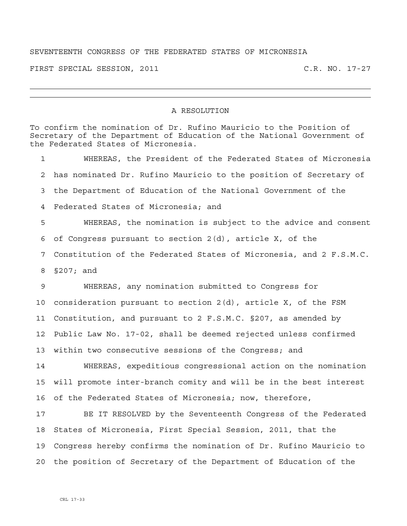## SEVENTEENTH CONGRESS OF THE FEDERATED STATES OF MICRONESIA

FIRST SPECIAL SESSION, 2011 C.R. NO. 17-27

## A RESOLUTION

To confirm the nomination of Dr. Rufino Mauricio to the Position of Secretary of the Department of Education of the National Government of the Federated States of Micronesia. 1 WHEREAS, the President of the Federated States of Micronesia 2 has nominated Dr. Rufino Mauricio to the position of Secretary of 3 the Department of Education of the National Government of the 4 Federated States of Micronesia; and 5 WHEREAS, the nomination is subject to the advice and consent 6 of Congress pursuant to section 2(d), article X, of the 7 Constitution of the Federated States of Micronesia, and 2 F.S.M.C. 8 §207; and 9 WHEREAS, any nomination submitted to Congress for 10 consideration pursuant to section 2(d), article X, of the FSM 11 Constitution, and pursuant to 2 F.S.M.C. §207, as amended by 12 Public Law No. 17-02, shall be deemed rejected unless confirmed 13 within two consecutive sessions of the Congress; and 14 WHEREAS, expeditious congressional action on the nomination 15 will promote inter-branch comity and will be in the best interest 16 of the Federated States of Micronesia; now, therefore, 17 BE IT RESOLVED by the Seventeenth Congress of the Federated 18 States of Micronesia, First Special Session, 2011, that the 19 Congress hereby confirms the nomination of Dr. Rufino Mauricio to 20 the position of Secretary of the Department of Education of the